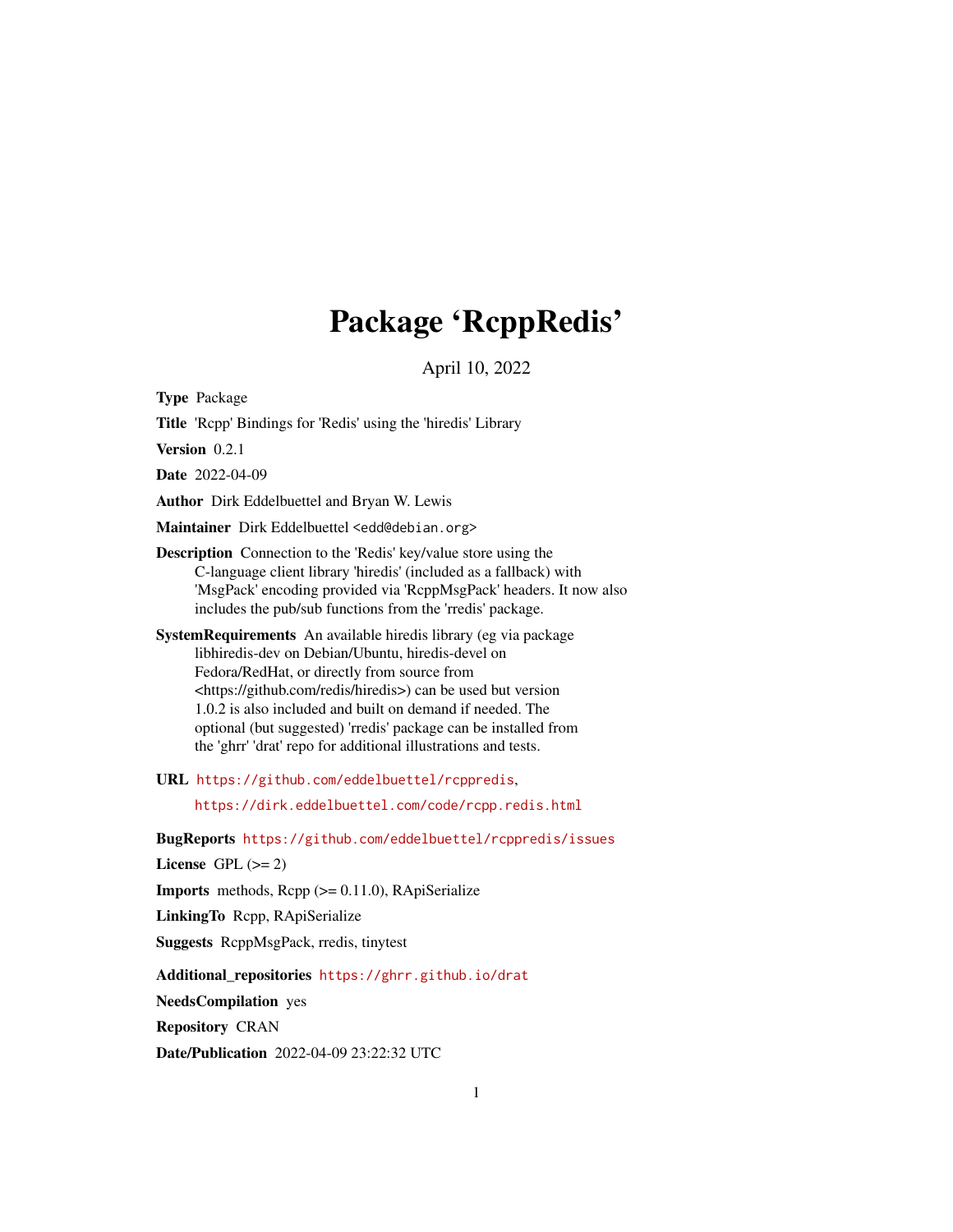## Package 'RcppRedis'

April 10, 2022

Type Package

Title 'Rcpp' Bindings for 'Redis' using the 'hiredis' Library

Version 0.2.1

Date 2022-04-09

Author Dirk Eddelbuettel and Bryan W. Lewis

Maintainer Dirk Eddelbuettel <edd@debian.org>

Description Connection to the 'Redis' key/value store using the C-language client library 'hiredis' (included as a fallback) with 'MsgPack' encoding provided via 'RcppMsgPack' headers. It now also includes the pub/sub functions from the 'rredis' package.

SystemRequirements An available hiredis library (eg via package libhiredis-dev on Debian/Ubuntu, hiredis-devel on Fedora/RedHat, or directly from source from <https://github.com/redis/hiredis>) can be used but version 1.0.2 is also included and built on demand if needed. The optional (but suggested) 'rredis' package can be installed from the 'ghrr' 'drat' repo for additional illustrations and tests.

URL <https://github.com/eddelbuettel/rcppredis>,

<https://dirk.eddelbuettel.com/code/rcpp.redis.html>

BugReports <https://github.com/eddelbuettel/rcppredis/issues>

License GPL  $(>= 2)$ 

Imports methods, Rcpp (>= 0.11.0), RApiSerialize

LinkingTo Rcpp, RApiSerialize

Suggests RcppMsgPack, rredis, tinytest

Additional\_repositories <https://ghrr.github.io/drat>

NeedsCompilation yes

Repository CRAN

Date/Publication 2022-04-09 23:22:32 UTC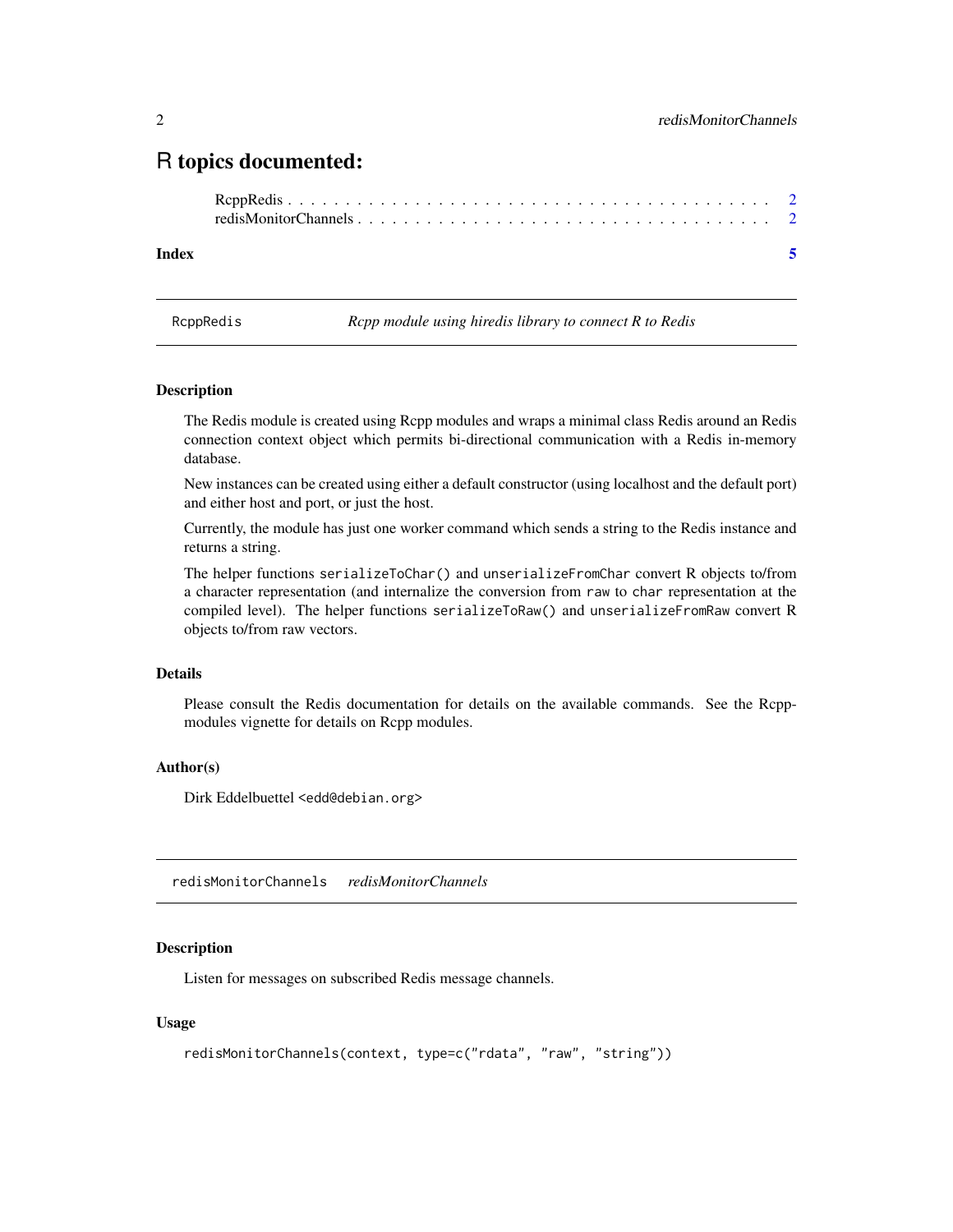### <span id="page-1-0"></span>R topics documented:

#### **Index** [5](#page-4-0). The second state of the second state of the second state of the second state of the second state of the second state of the second state of the second state of the second state of the second state of the second

RcppRedis *Rcpp module using hiredis library to connect R to Redis*

#### **Description**

The Redis module is created using Rcpp modules and wraps a minimal class Redis around an Redis connection context object which permits bi-directional communication with a Redis in-memory database.

New instances can be created using either a default constructor (using localhost and the default port) and either host and port, or just the host.

Currently, the module has just one worker command which sends a string to the Redis instance and returns a string.

The helper functions serializeToChar() and unserializeFromChar convert R objects to/from a character representation (and internalize the conversion from raw to char representation at the compiled level). The helper functions serializeToRaw() and unserializeFromRaw convert R objects to/from raw vectors.

#### Details

Please consult the Redis documentation for details on the available commands. See the Rcppmodules vignette for details on Rcpp modules.

#### Author(s)

Dirk Eddelbuettel <edd@debian.org>

redisMonitorChannels *redisMonitorChannels*

#### Description

Listen for messages on subscribed Redis message channels.

#### Usage

```
redisMonitorChannels(context, type=c("rdata", "raw", "string"))
```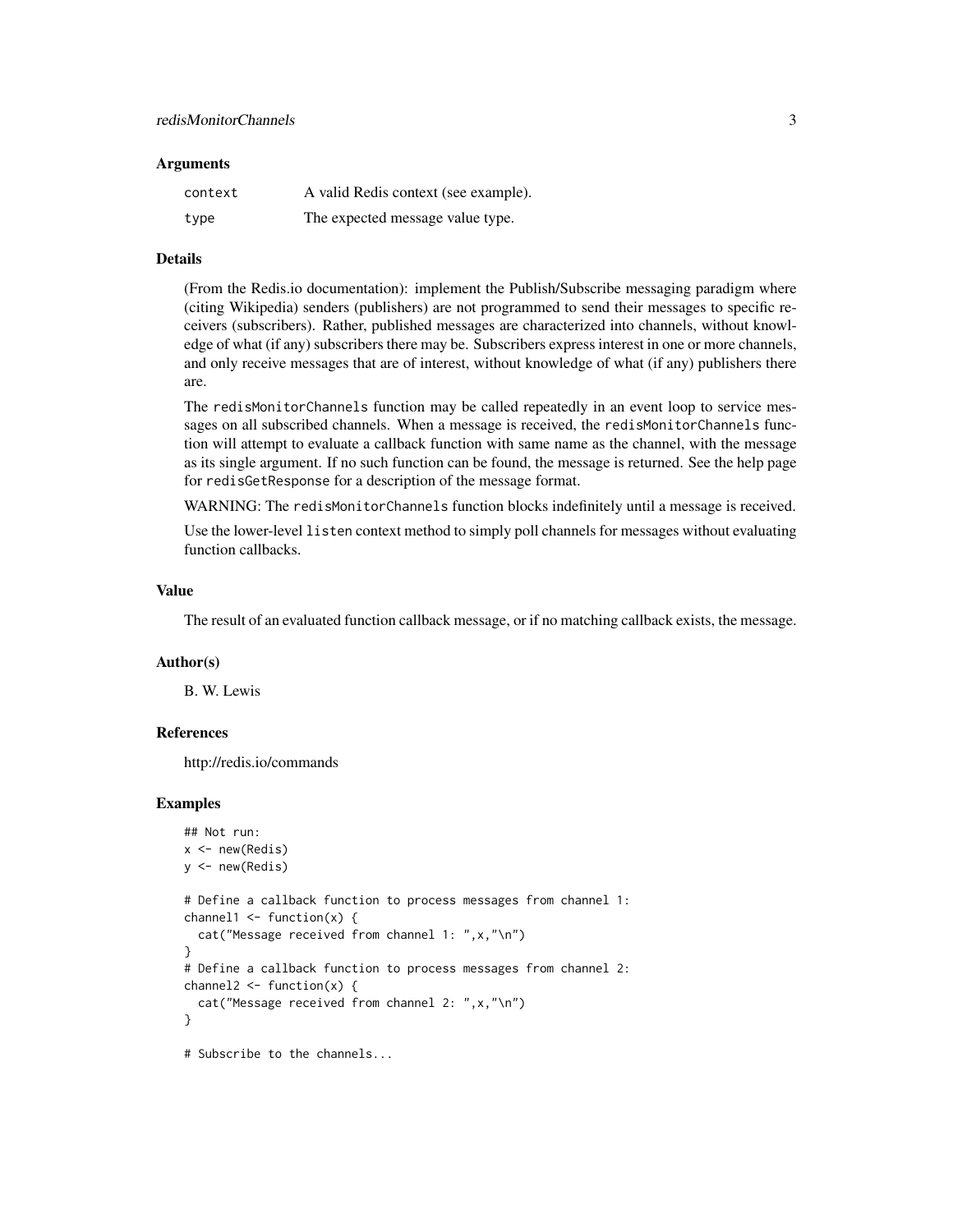#### **Arguments**

| context | A valid Redis context (see example). |
|---------|--------------------------------------|
| type    | The expected message value type.     |

#### Details

(From the Redis.io documentation): implement the Publish/Subscribe messaging paradigm where (citing Wikipedia) senders (publishers) are not programmed to send their messages to specific receivers (subscribers). Rather, published messages are characterized into channels, without knowledge of what (if any) subscribers there may be. Subscribers express interest in one or more channels, and only receive messages that are of interest, without knowledge of what (if any) publishers there are.

The redisMonitorChannels function may be called repeatedly in an event loop to service messages on all subscribed channels. When a message is received, the redisMonitorChannels function will attempt to evaluate a callback function with same name as the channel, with the message as its single argument. If no such function can be found, the message is returned. See the help page for redisGetResponse for a description of the message format.

WARNING: The redisMonitorChannels function blocks indefinitely until a message is received.

Use the lower-level listen context method to simply poll channels for messages without evaluating function callbacks.

#### Value

The result of an evaluated function callback message, or if no matching callback exists, the message.

#### Author(s)

B. W. Lewis

#### References

http://redis.io/commands

#### Examples

```
## Not run:
x \leftarrow new(Redis)y \leftarrow new(Redis)# Define a callback function to process messages from channel 1:
channel1 \leq function(x) {
 cat("Message received from channel 1: ",x,"\n")
}
# Define a callback function to process messages from channel 2:
channel2 \leq function(x) {
 cat("Message received from channel 2: ",x,"\n")
}
# Subscribe to the channels...
```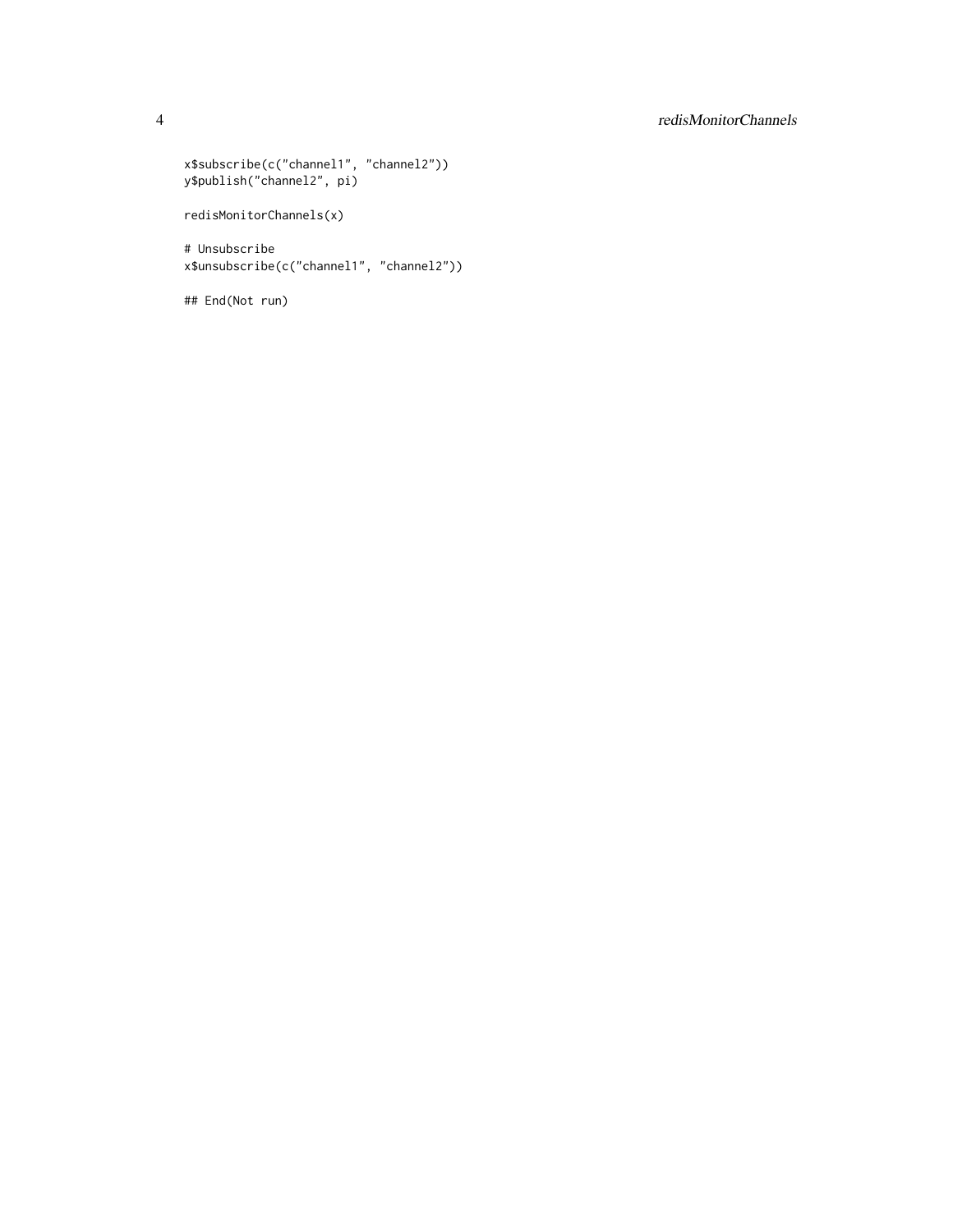#### 4 redisMonitorChannels

```
x$subscribe(c("channel1", "channel2"))
y$publish("channel2", pi)
redisMonitorChannels(x)
# Unsubscribe
x$unsubscribe(c("channel1", "channel2"))
## End(Not run)
```